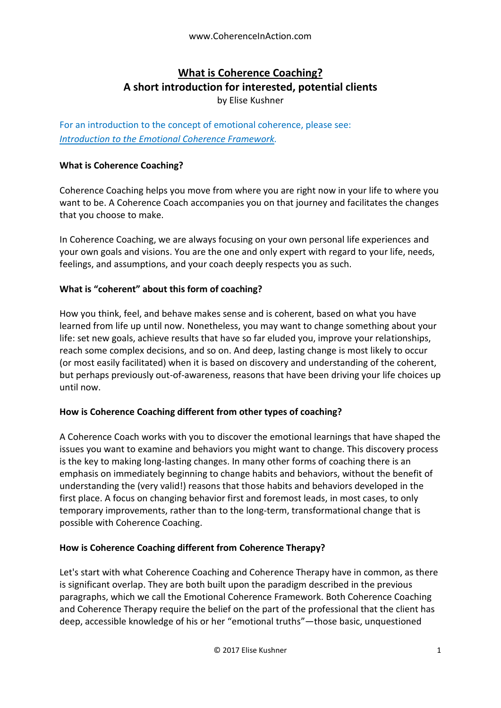# **What is Coherence Coaching? A short introduction for interested, potential clients**

by Elise Kushner

For an introduction to the concept of emotional coherence, please see: *[Introduction to the Emotional Coherence Framework.](https://docs.wixstatic.com/ugd/c5924b_db22a19f1b1c40209c875a5b1eac0cd3.pdf)*

# **What is Coherence Coaching?**

Coherence Coaching helps you move from where you are right now in your life to where you want to be. A Coherence Coach accompanies you on that journey and facilitates the changes that you choose to make.

In Coherence Coaching, we are always focusing on your own personal life experiences and your own goals and visions. You are the one and only expert with regard to your life, needs, feelings, and assumptions, and your coach deeply respects you as such.

# **What is "coherent" about this form of coaching?**

How you think, feel, and behave makes sense and is coherent, based on what you have learned from life up until now. Nonetheless, you may want to change something about your life: set new goals, achieve results that have so far eluded you, improve your relationships, reach some complex decisions, and so on. And deep, lasting change is most likely to occur (or most easily facilitated) when it is based on discovery and understanding of the coherent, but perhaps previously out-of-awareness, reasons that have been driving your life choices up until now.

# **How is Coherence Coaching different from other types of coaching?**

A Coherence Coach works with you to discover the emotional learnings that have shaped the issues you want to examine and behaviors you might want to change. This discovery process is the key to making long-lasting changes. In many other forms of coaching there is an emphasis on immediately beginning to change habits and behaviors, without the benefit of understanding the (very valid!) reasons that those habits and behaviors developed in the first place. A focus on changing behavior first and foremost leads, in most cases, to only temporary improvements, rather than to the long-term, transformational change that is possible with Coherence Coaching.

# **How is Coherence Coaching different from Coherence Therapy?**

Let's start with what Coherence Coaching and Coherence Therapy have in common, as there is significant overlap. They are both built upon the paradigm described in the previous paragraphs, which we call the Emotional Coherence Framework. Both Coherence Coaching and Coherence Therapy require the belief on the part of the professional that the client has deep, accessible knowledge of his or her "emotional truths"—those basic, unquestioned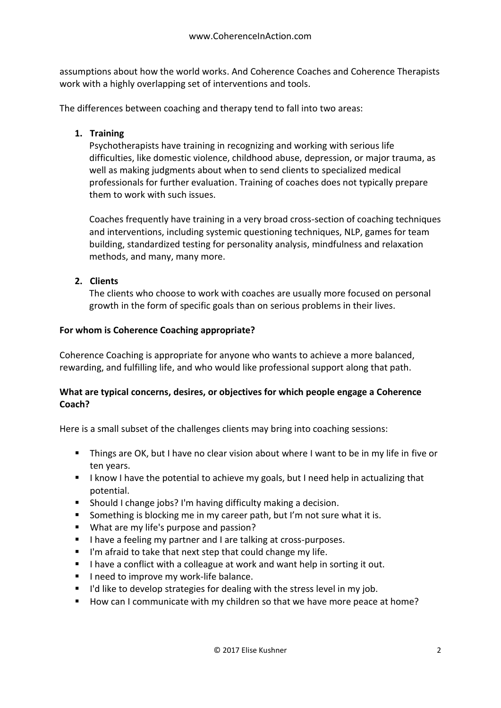assumptions about how the world works. And Coherence Coaches and Coherence Therapists work with a highly overlapping set of interventions and tools.

The differences between coaching and therapy tend to fall into two areas:

# **1. Training**

Psychotherapists have training in recognizing and working with serious life difficulties, like domestic violence, childhood abuse, depression, or major trauma, as well as making judgments about when to send clients to specialized medical professionals for further evaluation. Training of coaches does not typically prepare them to work with such issues.

Coaches frequently have training in a very broad cross-section of coaching techniques and interventions, including systemic questioning techniques, NLP, games for team building, standardized testing for personality analysis, mindfulness and relaxation methods, and many, many more.

# **2. Clients**

The clients who choose to work with coaches are usually more focused on personal growth in the form of specific goals than on serious problems in their lives.

#### **For whom is Coherence Coaching appropriate?**

Coherence Coaching is appropriate for anyone who wants to achieve a more balanced, rewarding, and fulfilling life, and who would like professional support along that path.

#### **What are typical concerns, desires, or objectives for which people engage a Coherence Coach?**

Here is a small subset of the challenges clients may bring into coaching sessions:

- Things are OK, but I have no clear vision about where I want to be in my life in five or ten years.
- I know I have the potential to achieve my goals, but I need help in actualizing that potential.
- Should I change jobs? I'm having difficulty making a decision.
- Something is blocking me in my career path, but I'm not sure what it is.
- What are my life's purpose and passion?
- I have a feeling my partner and I are talking at cross-purposes.
- I'm afraid to take that next step that could change my life.
- I have a conflict with a colleague at work and want help in sorting it out.
- I need to improve my work-life balance.
- I'd like to develop strategies for dealing with the stress level in my job.
- How can I communicate with my children so that we have more peace at home?